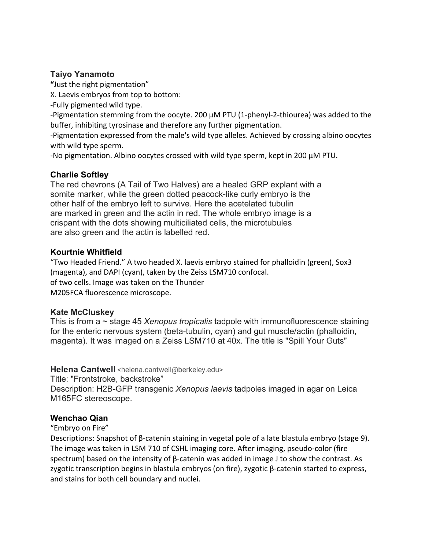# **Taiyo Yanamoto**

**"**Just the right pigmentation"

X. Laevis embryos from top to bottom:

-Fully pigmented wild type.

-Pigmentation stemming from the oocyte. 200  $\mu$ M PTU (1-phenyl-2-thiourea) was added to the buffer, inhibiting tyrosinase and therefore any further pigmentation.

-Pigmentation expressed from the male's wild type alleles. Achieved by crossing albino oocytes with wild type sperm.

-No pigmentation. Albino oocytes crossed with wild type sperm, kept in 200 µM PTU.

# **Charlie Softley**

The red chevrons (A Tail of Two Halves) are a healed GRP explant with a somite marker, while the green dotted peacock-like curly embryo is the other half of the embryo left to survive. Here the acetelated tubulin are marked in green and the actin in red. The whole embryo image is a crispant with the dots showing multiciliated cells, the microtubules are also green and the actin is labelled red.

# **Kourtnie Whitfield**

"Two Headed Friend." A two headed X. laevis embryo stained for phalloidin (green), Sox3 (magenta), and DAPI (cyan), taken by the Zeiss LSM710 confocal. of two cells. Image was taken on the Thunder M205FCA fluorescence microscope.

# **Kate McCluskey**

This is from a ~ stage 45 *Xenopus tropicalis* tadpole with immunofluorescence staining for the enteric nervous system (beta-tubulin, cyan) and gut muscle/actin (phalloidin, magenta). It was imaged on a Zeiss LSM710 at 40x. The title is "Spill Your Guts"

# Helena Cantwell <helena.cantwell@berkeley.edu>

Title: "Frontstroke, backstroke"

Description: H2B-GFP transgenic *Xenopus laevis* tadpoles imaged in agar on Leica M165FC stereoscope.

# **Wenchao Qian**

# "Embryo on Fire"

Descriptions: Snapshot of β-catenin staining in vegetal pole of a late blastula embryo (stage 9). The image was taken in LSM 710 of CSHL imaging core. After imaging, pseudo-color (fire spectrum) based on the intensity of β-catenin was added in image J to show the contrast. As zygotic transcription begins in blastula embryos (on fire), zygotic β-catenin started to express, and stains for both cell boundary and nuclei.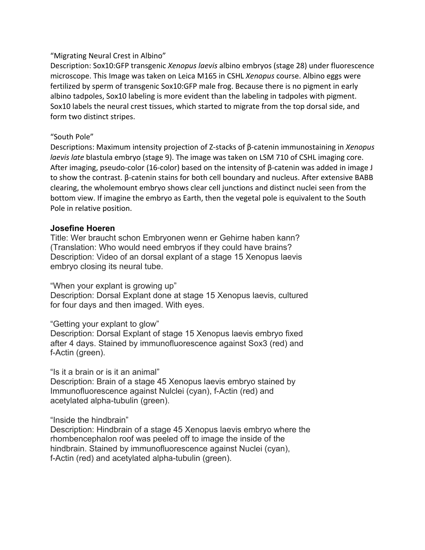# "Migrating Neural Crest in Albino"

Description: Sox10:GFP transgenic *Xenopus laevis* albino embryos (stage 28) under fluorescence microscope. This Image was taken on Leica M165 in CSHL *Xenopus* course. Albino eggs were fertilized by sperm of transgenic Sox10:GFP male frog. Because there is no pigment in early albino tadpoles, Sox10 labeling is more evident than the labeling in tadpoles with pigment. Sox10 labels the neural crest tissues, which started to migrate from the top dorsal side, and form two distinct stripes.

### "South Pole"

Descriptions: Maximum intensity projection of Z-stacks of β-catenin immunostaining in *Xenopus laevis late* blastula embryo (stage 9). The image was taken on LSM 710 of CSHL imaging core. After imaging, pseudo-color (16-color) based on the intensity of β-catenin was added in image J to show the contrast. β-catenin stains for both cell boundary and nucleus. After extensive BABB clearing, the wholemount embryo shows clear cell junctions and distinct nuclei seen from the bottom view. If imagine the embryo as Earth, then the vegetal pole is equivalent to the South Pole in relative position.

### **Josefine Hoeren**

Title: Wer braucht schon Embryonen wenn er Gehirne haben kann? (Translation: Who would need embryos if they could have brains? Description: Video of an dorsal explant of a stage 15 Xenopus laevis embryo closing its neural tube.

# "When your explant is growing up"

Description: Dorsal Explant done at stage 15 Xenopus laevis, cultured for four days and then imaged. With eyes.

"Getting your explant to glow"

Description: Dorsal Explant of stage 15 Xenopus laevis embryo fixed after 4 days. Stained by immunofluorescence against Sox3 (red) and f-Actin (green).

#### "Is it a brain or is it an animal"

Description: Brain of a stage 45 Xenopus laevis embryo stained by Immunofluorescence against Nulclei (cyan), f-Actin (red) and acetylated alpha-tubulin (green).

"Inside the hindbrain"

Description: Hindbrain of a stage 45 Xenopus laevis embryo where the rhombencephalon roof was peeled off to image the inside of the hindbrain. Stained by immunofluorescence against Nuclei (cyan), f-Actin (red) and acetylated alpha-tubulin (green).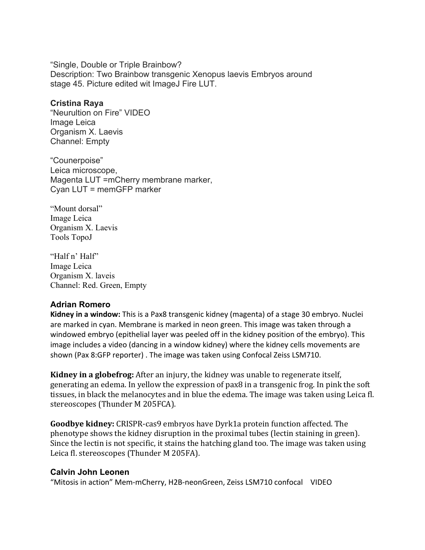"Single, Double or Triple Brainbow? Description: Two Brainbow transgenic Xenopus laevis Embryos around stage 45. Picture edited wit ImageJ Fire LUT.

#### **Cristina Raya**

"Neurultion on Fire" VIDEO Image Leica Organism X. Laevis Channel: Empty

"Counerpoise" Leica microscope, Magenta LUT =mCherry membrane marker, Cyan LUT = memGFP marker

"Mount dorsal" Image Leica Organism X. Laevis Tools TopoJ

"Half n' Half" Image Leica Organism X. laveis Channel: Red. Green, Empty

#### **Adrian Romero**

**Kidney in a window:** This is a Pax8 transgenic kidney (magenta) of a stage 30 embryo. Nuclei are marked in cyan. Membrane is marked in neon green. This image was taken through a windowed embryo (epithelial layer was peeled off in the kidney position of the embryo). This image includes a video (dancing in a window kidney) where the kidney cells movements are shown (Pax 8:GFP reporter) . The image was taken using Confocal Zeiss LSM710.

**Kidney in a globefrog:** After an injury, the kidney was unable to regenerate itself, generating an edema. In yellow the expression of pax8 in a transgenic frog. In pink the soft tissues, in black the melanocytes and in blue the edema. The image was taken using Leica fl. stereoscopes (Thunder M 205FCA).

**Goodbye kidney:** CRISPR-cas9 embryos have Dyrk1a protein function affected. The phenotype shows the kidney disruption in the proximal tubes (lectin staining in green). Since the lectin is not specific, it stains the hatching gland too. The image was taken using Leica fl. stereoscopes (Thunder M 205FA).

#### **Calvin John Leonen**

"Mitosis in action" Mem-mCherry, H2B-neonGreen, Zeiss LSM710 confocal VIDEO